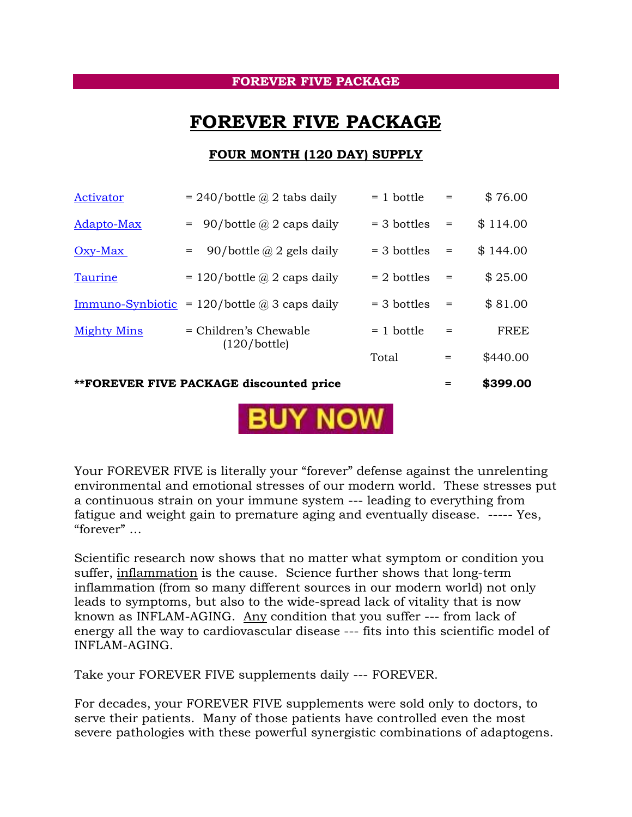## **FOREVER FIVE PACKAGE**

## **FOREVER FIVE PACKAGE**

## **FOUR MONTH (120 DAY) SUPPLY**

| **FOREVER FIVE PACKAGE discounted price |                                                            |               | =   | \$399.00    |
|-----------------------------------------|------------------------------------------------------------|---------------|-----|-------------|
|                                         |                                                            | Total         | =   | \$440.00    |
| <b>Mighty Mins</b>                      | = Children's Chewable<br>(120/bottle)                      | $= 1$ bottle  | $=$ | <b>FREE</b> |
|                                         | <u>Immuno-Synbiotic</u> = 120/bottle $\omega$ 3 caps daily | $=$ 3 bottles | $=$ | \$81.00     |
| Taurine                                 | $= 120/b$ ottle @ 2 caps daily                             | $= 2$ bottles | $=$ | \$25.00     |
| $Oxy-Max$                               | 90/bottle $\omega$ 2 gels daily<br>$=$                     | $=$ 3 bottles | $=$ | \$144.00    |
| Adapto-Max                              | 90/bottle $\omega$ 2 caps daily<br>$=$                     | $=$ 3 bottles | $=$ | \$114.00    |
| Activator                               | $= 240/b$ ottle @ 2 tabs daily                             | $= 1$ bottle  | $=$ | \$76.00     |



Your FOREVER FIVE is literally your "forever" defense against the unrelenting environmental and emotional stresses of our modern world. These stresses put a continuous strain on your immune system --- leading to everything from fatigue and weight gain to premature aging and eventually disease. ----- Yes, "forever" …

Scientific research now shows that no matter what symptom or condition you suffer, inflammation is the cause. Science further shows that long-term inflammation (from so many different sources in our modern world) not only leads to symptoms, but also to the wide-spread lack of vitality that is now known as INFLAM-AGING. Any condition that you suffer --- from lack of energy all the way to cardiovascular disease --- fits into this scientific model of INFLAM-AGING.

Take your FOREVER FIVE supplements daily --- FOREVER.

For decades, your FOREVER FIVE supplements were sold only to doctors, to serve their patients. Many of those patients have controlled even the most severe pathologies with these powerful synergistic combinations of adaptogens.